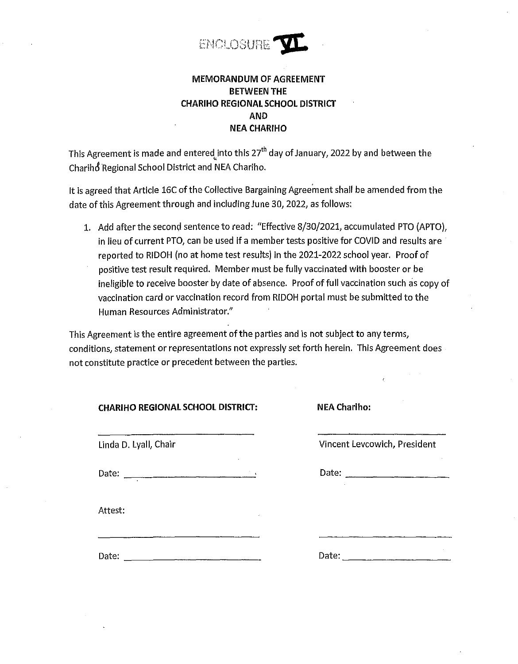

## **MEMORANDUM OF AGREEMENT BETWEEN THE CHARIHO REGIONAL SCHOOL DISTRICT AND NEA CHARIHO**

This Agreement is made and entered into this  $27<sup>th</sup>$  day of January, 2022 by and between the Chariho Regional School District and NEA Chariho.

It is agreed that Article 16C of the Collective Bargaining Agreement shall be amended from the date of this Agreement through and including June 30, 2022, as follows:

1. Add after the second sentence to read: "Effective 8/30/2021, accumulated PTO (APTO), in lieu of current PTO, can be used if a member tests positive for COVID and results are reported to RIDOH (no at home test results) in the 2021-2022 school year. Proof of positive test result required. Member must be fully vaccinated with booster or be ineligible to receive booster by date of absence. Proof of full vaccination such as copy of vaccination card or vaccination record from RIDOH portal must be submitted to the Human Resources Administrator."

This Agreement is the entire agreement of the parties and is not subject to any terms, conditions, statement or representations not expressly set forth herein. This Agreement does not constitute practice or precedent between the parties.

| Attest: |  |
|---------|--|

**CHARI HO REGIONAL SCHOOL DISTRICT: NEA Chariho:**